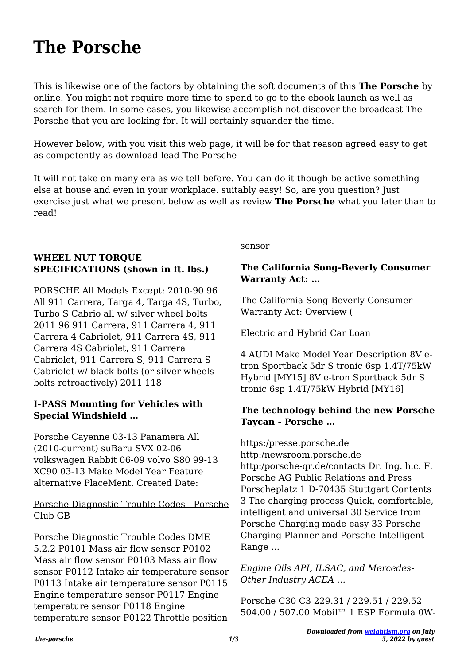# **The Porsche**

This is likewise one of the factors by obtaining the soft documents of this **The Porsche** by online. You might not require more time to spend to go to the ebook launch as well as search for them. In some cases, you likewise accomplish not discover the broadcast The Porsche that you are looking for. It will certainly squander the time.

However below, with you visit this web page, it will be for that reason agreed easy to get as competently as download lead The Porsche

It will not take on many era as we tell before. You can do it though be active something else at house and even in your workplace. suitably easy! So, are you question? Just exercise just what we present below as well as review **The Porsche** what you later than to read!

# **WHEEL NUT TORQUE SPECIFICATIONS (shown in ft. lbs.)**

PORSCHE All Models Except: 2010-90 96 All 911 Carrera, Targa 4, Targa 4S, Turbo, Turbo S Cabrio all w/ silver wheel bolts 2011 96 911 Carrera, 911 Carrera 4, 911 Carrera 4 Cabriolet, 911 Carrera 4S, 911 Carrera 4S Cabriolet, 911 Carrera Cabriolet, 911 Carrera S, 911 Carrera S Cabriolet w/ black bolts (or silver wheels bolts retroactively) 2011 118

#### **I-PASS Mounting for Vehicles with Special Windshield …**

Porsche Cayenne 03-13 Panamera All (2010-current) suBaru SVX 02-06 volkswagen Rabbit 06-09 volvo S80 99-13 XC90 03-13 Make Model Year Feature alternative PlaceMent. Created Date:

#### Porsche Diagnostic Trouble Codes - Porsche Club GB

Porsche Diagnostic Trouble Codes DME 5.2.2 P0101 Mass air flow sensor P0102 Mass air flow sensor P0103 Mass air flow sensor P0112 Intake air temperature sensor P0113 Intake air temperature sensor P0115 Engine temperature sensor P0117 Engine temperature sensor P0118 Engine temperature sensor P0122 Throttle position sensor

#### **The California Song-Beverly Consumer Warranty Act: …**

The California Song-Beverly Consumer Warranty Act: Overview (

#### Electric and Hybrid Car Loan

4 AUDI Make Model Year Description 8V etron Sportback 5dr S tronic 6sp 1.4T/75kW Hybrid [MY15] 8V e-tron Sportback 5dr S tronic 6sp 1.4T/75kW Hybrid [MY16]

## **The technology behind the new Porsche Taycan - Porsche …**

https:/presse.porsche.de http:/newsroom.porsche.de http:/porsche-qr.de/contacts Dr. Ing. h.c. F. Porsche AG Public Relations and Press Porscheplatz 1 D-70435 Stuttgart Contents 3 The charging process Quick, comfortable, intelligent and universal 30 Service from Porsche Charging made easy 33 Porsche Charging Planner and Porsche Intelligent Range ...

*Engine Oils API, ILSAC, and Mercedes‐ Other Industry ACEA …*

Porsche C30 C3 229.31 / 229.51 / 229.52 504.00 / 507.00 Mobil™ 1 ESP Formula 0W‐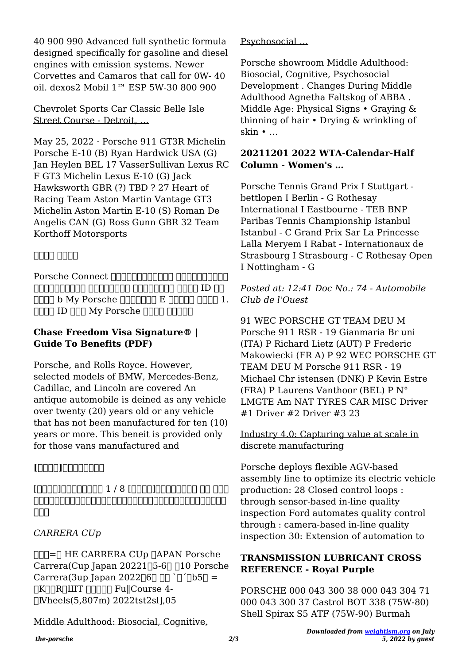40 900 990 Advanced full synthetic formula designed specifically for gasoline and diesel engines with emission systems. Newer Corvettes and Camaros that call for 0W‐ 40 oil. dexos2 Mobil 1™ ESP 5W‐30 800 900

Chevrolet Sports Car Classic Belle Isle Street Course - Detroit, …

May 25, 2022 · Porsche 911 GT3R Michelin Porsche E-10 (B) Ryan Hardwick USA (G) Jan Heylen BEL 17 VasserSullivan Lexus RC F GT3 Michelin Lexus E-10 (G) Jack Hawksworth GBR (?) TBD ? 27 Heart of Racing Team Aston Martin Vantage GT3 Michelin Aston Martin E-10 (S) Roman De Angelis CAN (G) Ross Gunn GBR 32 Team Korthoff Motorsports

# *ポルシェ コネクト*

Porsche Connect **Format Accord to the Connect** よび装備により異なる 場合があります。 登録および有効化 ポルシェ ID での  $\Box \Box \Box$  b My Porsche  $\Box \Box \Box \Box \Box \Box$  E  $\Box \Box \Box \Box \Box \Box \Box$  1.  $\Box$  $\Box$  ID  $\Box$  $\Box$  My Porsche  $\Box$  $\Box$  $\Box$  $\Box$  $\Box$ 

## **Chase Freedom Visa Signature® | Guide To Benefits (PDF)**

Porsche, and Rolls Royce. However, selected models of BMW, Mercedes-Benz, Cadillac, and Lincoln are covered An antique automobile is deined as any vehicle over twenty (20) years old or any vehicle that has not been manufactured for ten (10) years or more. This beneit is provided only for those vans manufactured and

# **[ポルシェ]サービスリセット**

# $\Gamma$ よってリセットの手順が違いますので、以下の表を参考にしてリセットを行って下 nnn

# *CARRERA CUp*

 $\Pi\Pi=\Pi$  HE CARRERA CUp  $\P$ APAN Porsche Carrera(Cup Japan 20221 $\Box$ 5-6 $\Box$   $\Box$ 10 Porsche Carrera(3up Japan 2022 $\sqrt{6}$ |  $\sqrt{7}$   $\sqrt{15}$ **[K]]R]ШТ []]** Fu∥Course 4-ヽⅣheels(5,807m) 2022tst2sl],05

Middle Adulthood: Biosocial, Cognitive,

Psychosocial …

Porsche showroom Middle Adulthood: Biosocial, Cognitive, Psychosocial Development . Changes During Middle Adulthood Agnetha Faltskog of ABBA . Middle Age: Physical Signs • Graying & thinning of hair • Drying & wrinkling of skin • …

## **20211201 2022 WTA-Calendar-Half Column - Women's …**

Porsche Tennis Grand Prix I Stuttgart bettlopen I Berlin - G Rothesay International I Eastbourne - TEB BNP Paribas Tennis Championship Istanbul Istanbul - C Grand Prix Sar La Princesse Lalla Meryem I Rabat - Internationaux de Strasbourg I Strasbourg - C Rothesay Open I Nottingham - G

#### *Posted at: 12:41 Doc No.: 74 - Automobile Club de l'Ouest*

91 WEC PORSCHE GT TEAM DEU M Porsche 911 RSR - 19 Gianmaria Br uni (ITA) P Richard Lietz (AUT) P Frederic Makowiecki (FR A) P 92 WEC PORSCHE GT TEAM DEU M Porsche 911 RSR - 19 Michael Chr istensen (DNK) P Kevin Estre (FRA) P Laurens Vanthoor (BEL) P N° LMGTE Am NAT TYRES CAR MISC Driver #1 Driver #2 Driver #3 23

#### Industry 4.0: Capturing value at scale in discrete manufacturing

Porsche deploys flexible AGV-based assembly line to optimize its electric vehicle production: 28 Closed control loops : through sensor-based in-line quality inspection Ford automates quality control through : camera-based in-line quality inspection 30: Extension of automation to

# **TRANSMISSION LUBRICANT CROSS REFERENCE - Royal Purple**

PORSCHE 000 043 300 38 000 043 304 71 000 043 300 37 Castrol BOT 338 (75W-80) Shell Spirax S5 ATF (75W-90) Burmah